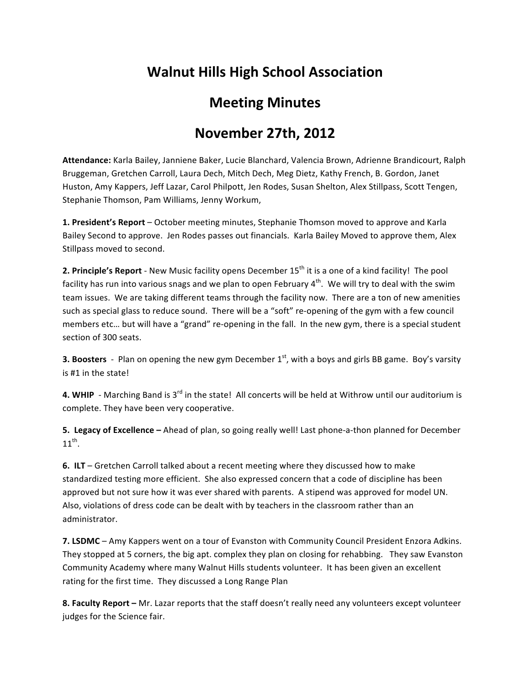## **Walnut
Hills
High
School
Association**

## **Meeting
Minutes**

## **November
27th,
2012**

Attendance: Karla Bailey, Janniene Baker, Lucie Blanchard, Valencia Brown, Adrienne Brandicourt, Ralph Bruggeman,
Gretchen
Carroll,
Laura
Dech,
Mitch
Dech,
Meg
Dietz,
Kathy
French,
B.
Gordon,
Janet Huston, Amy Kappers, Jeff Lazar, Carol Philpott, Jen Rodes, Susan Shelton, Alex Stillpass, Scott Tengen, Stephanie
Thomson,
Pam
Williams,
Jenny
Workum,

1. President's Report - October meeting minutes, Stephanie Thomson moved to approve and Karla Bailey Second to approve. Jen Rodes passes out financials. Karla Bailey Moved to approve them, Alex Stillpass
moved
to
second.

**2. Principle's Report** - New Music facility opens December 15<sup>th</sup> it is a one of a kind facility! The pool facility has run into various snags and we plan to open February  $4<sup>th</sup>$ . We will try to deal with the swim team issues. We are taking different teams through the facility now. There are a ton of new amenities such as special glass to reduce sound. There will be a "soft" re-opening of the gym with a few council members etc... but will have a "grand" re-opening in the fall. In the new gym, there is a special student section
of
300
seats.

**3. Boosters** - Plan on opening the new gym December  $1<sup>st</sup>$ , with a boys and girls BB game. Boy's varsity is
#1
in
the
state!

4. WHIP - Marching Band is 3<sup>rd</sup> in the state! All concerts will be held at Withrow until our auditorium is complete.
They
have
been
very
cooperative.

5. Legacy of Excellence - Ahead of plan, so going really well! Last phone-a-thon planned for December  $11^{th}$ .

**6. ILT** – Gretchen Carroll talked about a recent meeting where they discussed how to make standardized
testing
more
efficient.

She
also
expressed
concern
that
a
code
of
discipline
has
been approved but not sure how it was ever shared with parents. A stipend was approved for model UN. Also,
violations
of
dress
code
can
be
dealt
with
by
teachers
in
the
classroom
rather
than
an administrator.

7. LSDMC - Amy Kappers went on a tour of Evanston with Community Council President Enzora Adkins. They stopped at 5 corners, the big apt. complex they plan on closing for rehabbing. They saw Evanston Community Academy where many Walnut Hills students volunteer. It has been given an excellent rating for the first time. They discussed a Long Range Plan

8. Faculty Report - Mr. Lazar reports that the staff doesn't really need any volunteers except volunteer judges
for
the
Science
fair.